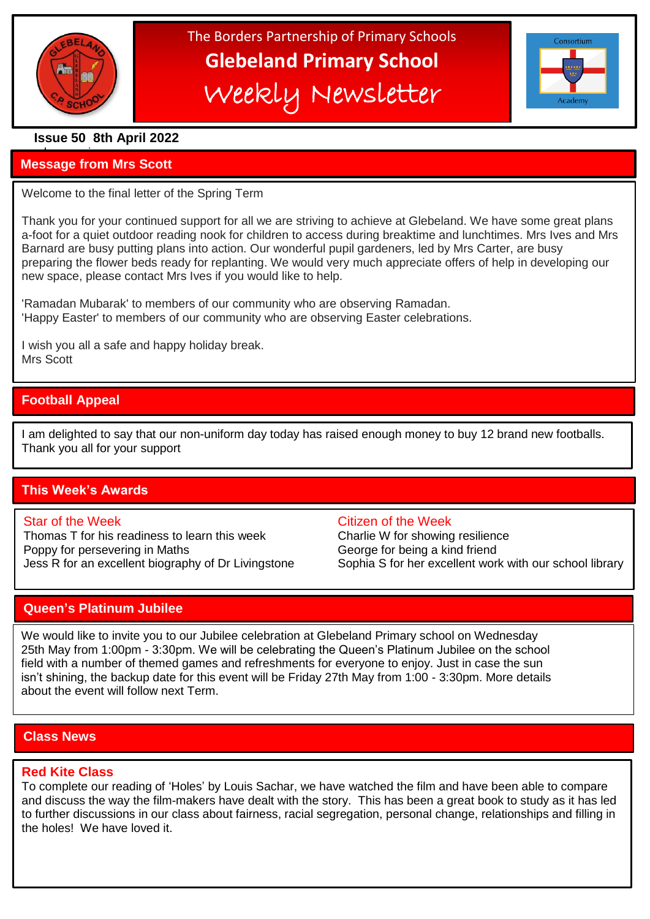

l

# The Borders Partnership of Primary Schools **Glebeland Primary School** Weekly Newsletter



## **Issue 50 8th April 2022**

#### a bumper issues in the second second in the second second second in the second second second in the second second second second second second second second second second second second second second second second second sec **Message from Mrs Scott**

#### Welcome to the final letter of the Spring Term

Thank you for your continued support for all we are striving to achieve at Glebeland. We have some great plans a-foot for a quiet outdoor reading nook for children to access during breaktime and lunchtimes. Mrs Ives and Mrs Barnard are busy putting plans into action. Our wonderful pupil gardeners, led by Mrs Carter, are busy preparing the flower beds ready for replanting. We would very much appreciate offers of help in developing our new space, please contact Mrs Ives if you would like to help.

'Ramadan Mubarak' to members of our community who are observing Ramadan. 'Happy Easter' to members of our community who are observing Easter celebrations.

I wish you all a safe and happy holiday break. Mrs Scott

# **Football Appeal**

I am delighted to say that our non-uniform day today has raised enough money to buy 12 brand new footballs. Thank you all for your support

#### í **This Week's Awards**

Thomas T for his readiness to learn this week Charlie W for showing resilience Poppy for persevering in Maths George for being a kind friend

#### Star of the Week Citizen of the Week

Jess R for an excellent biography of Dr Livingstone Sophia S for her excellent work with our school library

#### **Queen's Platinum Jubilee**

We would like to invite you to our Jubilee celebration at Glebeland Primary school on Wednesday 25th May from 1:00pm - 3:30pm. We will be celebrating the Queen's Platinum Jubilee on the school field with a number of themed games and refreshments for everyone to enjoy. Just in case the sun isn't shining, the backup date for this event will be Friday 27th May from 1:00 - 3:30pm. More details about the event will follow next Term.

#### **Class News**

#### **Red Kite Class**

To complete our reading of 'Holes' by Louis Sachar, we have watched the film and have been able to compare and discuss the way the film-makers have dealt with the story. This has been a great book to study as it has led to further discussions in our class about fairness, racial segregation, personal change, relationships and filling in the holes! We have loved it.

֦